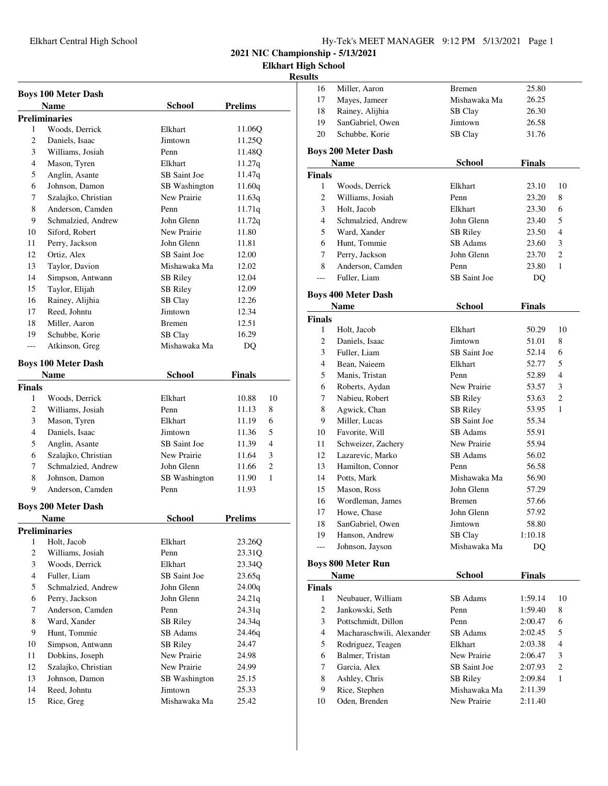**Elkhart High School**

### **Results**

| <b>Name</b><br><b>Prelims</b><br>School<br><b>Preliminaries</b><br>Woods, Derrick<br>1<br>Elkhart<br>11.06Q<br>2<br>Jimtown<br>11.25Q<br>Daniels, Isaac |    |
|---------------------------------------------------------------------------------------------------------------------------------------------------------|----|
|                                                                                                                                                         |    |
|                                                                                                                                                         |    |
|                                                                                                                                                         |    |
|                                                                                                                                                         |    |
| 3<br>Williams, Josiah<br>Penn<br>11.48Q                                                                                                                 |    |
| 4<br>Mason, Tyren<br>Elkhart<br>11.27q                                                                                                                  |    |
| Anglin, Asante<br>SB Saint Joe<br>5<br>11.47q                                                                                                           |    |
| Johnson, Damon<br>6<br><b>SB</b> Washington<br>11.60q                                                                                                   |    |
| Szalajko, Christian<br>New Prairie<br>7<br>11.63q                                                                                                       |    |
| 8<br>Anderson, Camden<br>11.71q<br>Penn                                                                                                                 |    |
| 9<br>Schmalzied, Andrew<br>John Glenn<br>11.72q                                                                                                         |    |
| Siford, Robert<br>New Prairie<br>10<br>11.80                                                                                                            |    |
| Perry, Jackson<br>John Glenn<br>11<br>11.81                                                                                                             |    |
| Ortiz, Alex<br>SB Saint Joe<br>12.00<br>12                                                                                                              |    |
| Taylor, Davion<br>Mishawaka Ma<br>13<br>12.02                                                                                                           |    |
| Simpson, Antwann<br>14<br>12.04<br>SB Riley                                                                                                             |    |
| Taylor, Elijah<br>SB Riley<br>15<br>12.09                                                                                                               |    |
| Rainey, Alijhia<br>16<br>SB Clay<br>12.26                                                                                                               |    |
| Reed, Johntu<br>Jimtown<br>12.34<br>17                                                                                                                  |    |
| Miller, Aaron<br>18<br><b>Bremen</b><br>12.51                                                                                                           |    |
| Schubbe, Korie<br>19<br>SB Clay<br>16.29                                                                                                                |    |
| Mishawaka Ma<br>Atkinson, Greg<br>DQ<br>---                                                                                                             |    |
| <b>Boys 100 Meter Dash</b>                                                                                                                              |    |
| <b>School</b>                                                                                                                                           |    |
| <b>Name</b><br>Finals                                                                                                                                   |    |
| <b>Finals</b>                                                                                                                                           |    |
| Woods, Derrick<br>1<br>Elkhart<br>10.88                                                                                                                 | 10 |
| 2<br>Williams, Josiah<br>Penn<br>11.13                                                                                                                  | 8  |
| 3<br>Mason, Tyren<br>Elkhart<br>11.19                                                                                                                   | 6  |
| 4<br>Daniels, Isaac<br>11.36<br>Jimtown                                                                                                                 | 5  |
| Anglin, Asante<br>SB Saint Joe<br>5<br>11.39                                                                                                            | 4  |
| Szalajko, Christian<br>6<br>New Prairie<br>11.64                                                                                                        | 3  |
| Schmalzied, Andrew<br>John Glenn<br>7<br>11.66                                                                                                          | 2  |
| 8<br>Johnson, Damon<br>SB Washington<br>11.90                                                                                                           | 1  |
| Anderson, Camden<br>Penn<br>9<br>11.93                                                                                                                  |    |
| <b>Boys 200 Meter Dash</b>                                                                                                                              |    |
| School<br><b>Prelims</b><br>Name                                                                                                                        |    |
| <b>Preliminaries</b>                                                                                                                                    |    |
| Holt, Jacob<br>Elkhart<br>23.26Q<br>1                                                                                                                   |    |
| $\overline{c}$<br>Williams, Josiah<br>Penn<br>23.31Q                                                                                                    |    |
| 3<br>Woods, Derrick<br>Elkhart<br>23.34Q                                                                                                                |    |
| $\overline{4}$<br>Fuller, Liam<br>SB Saint Joe<br>23.65q                                                                                                |    |
| 5<br>Schmalzied, Andrew<br>24.00q<br>John Glenn                                                                                                         |    |
| 6<br>Perry, Jackson<br>John Glenn<br>24.21g                                                                                                             |    |
| 7<br>Anderson, Camden<br>Penn<br>24.31q                                                                                                                 |    |
| Ward, Xander<br>8<br><b>SB</b> Riley<br>24.34q                                                                                                          |    |
| SB Adams<br>9<br>Hunt, Tommie<br>24.46q                                                                                                                 |    |
| Simpson, Antwann<br>24.47<br>10<br><b>SB Riley</b>                                                                                                      |    |
| Dobkins, Joseph<br>11<br>New Prairie<br>24.98                                                                                                           |    |
| Szalajko, Christian<br>12<br>New Prairie<br>24.99                                                                                                       |    |
| Johnson, Damon<br>13<br>25.15<br><b>SB</b> Washington                                                                                                   |    |
| Reed, Johntu<br>Jimtown<br>14<br>25.33                                                                                                                  |    |
| Rice, Greg<br>Mishawaka Ma<br>15<br>25.42                                                                                                               |    |

| ідн эспооі<br>ults |                                    |                     |               |                |
|--------------------|------------------------------------|---------------------|---------------|----------------|
| 16                 | Miller, Aaron                      | <b>Bremen</b>       | 25.80         |                |
| 17                 | Mayes, Jameer                      | Mishawaka Ma        | 26.25         |                |
| 18                 | Rainey, Alijhia                    | SB Clay             | 26.30         |                |
| 19                 | SanGabriel, Owen                   | Jimtown             | 26.58         |                |
| 20                 | Schubbe, Korie                     | SB Clay             | 31.76         |                |
|                    |                                    |                     |               |                |
|                    | <b>Boys 200 Meter Dash</b>         |                     |               |                |
|                    | Name                               | <b>School</b>       | <b>Finals</b> |                |
| <b>Finals</b>      |                                    |                     |               |                |
| 1                  | Woods, Derrick                     | Elkhart             | 23.10         | 10             |
| $\overline{c}$     | Williams, Josiah                   | Penn                | 23.20         | 8              |
| 3                  | Holt, Jacob                        | Elkhart             | 23.30         | 6              |
| 4                  | Schmalzied, Andrew                 | John Glenn          | 23.40         | 5              |
| 5                  | Ward, Xander                       | SB Riley            | 23.50         | 4              |
| 6                  | Hunt, Tommie                       | SB Adams            | 23.60         | 3              |
| 7                  | Perry, Jackson                     | John Glenn          | 23.70         | 2              |
| 8                  | Anderson, Camden                   | Penn                | 23.80         | 1              |
| $---$              | Fuller, Liam                       | <b>SB</b> Saint Joe | DQ            |                |
|                    |                                    |                     |               |                |
|                    | <b>Boys 400 Meter Dash</b><br>Name | <b>School</b>       | <b>Finals</b> |                |
|                    |                                    |                     |               |                |
| <b>Finals</b><br>1 | Holt, Jacob                        | Elkhart             | 50.29         | 10             |
| 2                  | Daniels, Isaac                     | Jimtown             | 51.01         | 8              |
| 3                  | Fuller, Liam                       | SB Saint Joe        |               | 6              |
| 4                  |                                    | Elkhart             | 52.14         | 5              |
| 5                  | Bean, Naieem<br>Manis, Tristan     | Penn                | 52.77         | $\overline{4}$ |
| 6                  |                                    |                     | 52.89         |                |
|                    | Roberts, Aydan                     | New Prairie         | 53.57         | 3              |
| 7                  | Nabieu, Robert                     | SB Riley            | 53.63         | 2              |
| 8                  | Agwick, Chan                       | <b>SB Riley</b>     | 53.95         | 1              |
| 9                  | Miller, Lucas                      | SB Saint Joe        | 55.34         |                |
| 10                 | Favorite, Will                     | SB Adams            | 55.91         |                |
| 11                 | Schweizer, Zachery                 | New Prairie         | 55.94         |                |
| 12                 | Lazarevic, Marko                   | SB Adams            | 56.02         |                |
| 13                 | Hamilton, Connor                   | Penn                | 56.58         |                |
| 14                 | Potts, Mark                        | Mishawaka Ma        | 56.90         |                |
| 15                 | Mason, Ross                        | John Glenn          | 57.29         |                |
| 16                 | Wordleman, James                   | <b>Bremen</b>       | 57.66         |                |
| 17                 | Howe, Chase                        | John Glenn          | 57.92         |                |
| 18                 | SanGabriel, Owen                   | Jimtown             | 58.80         |                |
| 19                 | Hanson, Andrew                     | SB Clay             | 1:10.18       |                |
| $---$              | Johnson, Jayson                    | Mishawaka Ma        | DQ            |                |
|                    | <b>Boys 800 Meter Run</b>          |                     |               |                |
|                    | Name                               | <b>School</b>       | <b>Finals</b> |                |
| <b>Finals</b>      |                                    |                     |               |                |
| $\mathbf{1}$       | Neubauer, William                  | SB Adams            | 1:59.14       | 10             |
| 2                  | Jankowski, Seth                    | Penn                | 1:59.40       | 8              |
| 3                  | Pottschmidt, Dillon                | Penn                | 2:00.47       | 6              |
| 4                  | Macharaschwili, Alexander          | SB Adams            | 2:02.45       | 5              |
| 5                  | Rodriguez, Teagen                  | Elkhart             | 2:03.38       | 4              |
| 6                  | Balmer, Tristan                    | New Prairie         | 2:06.47       | 3              |
| 7                  | Garcia, Alex                       | SB Saint Joe        | 2:07.93       | 2              |
| 8                  | Ashley, Chris                      | SB Riley            | 2:09.84       | $\mathbf{1}$   |
| 9                  | Rice, Stephen                      | Mishawaka Ma        | 2:11.39       |                |

10 Oden, Brenden New Prairie 2:11.40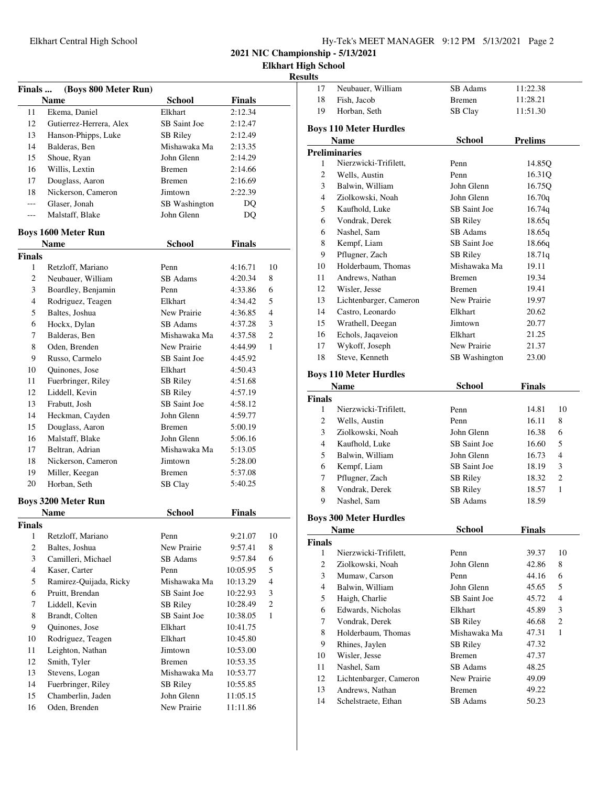**Elkhart High School**

| <b>Finals</b>                 | (Boys 800 Meter Run)<br><b>Name</b> | <b>School</b>       |                          |                |
|-------------------------------|-------------------------------------|---------------------|--------------------------|----------------|
| 11                            | Ekema, Daniel                       | Elkhart             | <b>Finals</b><br>2:12.34 |                |
| 12                            | Gutierrez-Herrera, Alex             | <b>SB</b> Saint Joe | 2:12.47                  |                |
| 13                            | Hanson-Phipps, Luke                 | <b>SB Riley</b>     | 2:12.49                  |                |
| 14                            | Balderas, Ben                       | Mishawaka Ma        |                          |                |
|                               |                                     | John Glenn          | 2:13.35                  |                |
| 15<br>16                      | Shoue, Ryan                         |                     | 2:14.29                  |                |
| 17                            | Willis, Lextin                      | <b>Bremen</b>       | 2:14.66                  |                |
|                               | Douglass, Aaron                     | <b>Bremen</b>       | 2:16.69                  |                |
| 18                            | Nickerson, Cameron                  | Jimtown             | 2:22.39                  |                |
| ---                           | Glaser, Jonah                       | SB Washington       | DQ                       |                |
| $---$                         | Malstaff, Blake                     | John Glenn          | <b>DQ</b>                |                |
|                               | <b>Boys 1600 Meter Run</b>          |                     |                          |                |
|                               | Name                                | <b>School</b>       | <b>Finals</b>            |                |
| <b>Finals</b>                 |                                     | Penn                |                          |                |
| $\mathbf{1}$                  | Retzloff, Mariano                   |                     | 4:16.71                  | 10             |
| $\overline{c}$                | Neubauer, William                   | SB Adams            | 4:20.34                  | 8              |
| 3                             | Boardley, Benjamin                  | Penn                | 4:33.86                  | 6              |
| $\overline{4}$                | Rodriguez, Teagen                   | Elkhart             | 4:34.42                  | 5              |
| 5                             | Baltes, Joshua                      | New Prairie         | 4:36.85                  | $\overline{4}$ |
| 6                             | Hockx, Dylan                        | SB Adams            | 4:37.28                  | 3              |
| 7                             | Balderas, Ben                       | Mishawaka Ma        | 4:37.58                  | 2              |
| 8                             | Oden, Brenden                       | New Prairie         | 4:44.99                  | 1              |
| 9                             | Russo, Carmelo                      | SB Saint Joe        | 4:45.92                  |                |
| 10                            | Quinones, Jose                      | Elkhart             | 4:50.43                  |                |
| 11                            | Fuerbringer, Riley                  | SB Riley            | 4:51.68                  |                |
| 12                            | Liddell, Kevin                      | <b>SB Riley</b>     | 4:57.19                  |                |
| 13                            | Frabutt, Josh                       | SB Saint Joe        | 4:58.12                  |                |
| 14                            | Heckman, Cayden                     | John Glenn          | 4:59.77                  |                |
| 15                            | Douglass, Aaron                     | <b>B</b> remen      | 5:00.19                  |                |
| 16                            | Malstaff, Blake                     | John Glenn          | 5:06.16                  |                |
| 17                            | Beltran, Adrian                     | Mishawaka Ma        | 5:13.05                  |                |
| 18                            | Nickerson, Cameron                  | Jimtown             | 5:28.00                  |                |
| 19                            | Miller, Keegan                      | <b>Bremen</b>       | 5:37.08                  |                |
| 20                            | Horban, Seth                        | SB Clay             | 5:40.25                  |                |
|                               | <b>Boys 3200 Meter Run</b>          |                     |                          |                |
|                               | <b>Name</b>                         | School              | <b>Finals</b>            |                |
| <b>Finals</b><br>$\mathbf{1}$ | Retzloff, Mariano                   | Penn                | 9:21.07                  | 10             |
| $\mathfrak{2}$                | Baltes, Joshua                      | New Prairie         | 9:57.41                  | 8              |
| 3                             | Camilleri, Michael                  | SB Adams            | 9:57.84                  | 6              |
| $\overline{4}$                | Kaser, Carter                       | Penn                | 10:05.95                 | 5              |
| 5                             | Ramirez-Quijada, Ricky              | Mishawaka Ma        | 10:13.29                 | $\overline{4}$ |
| 6                             | Pruitt. Brendan                     | SB Saint Joe        | 10:22.93                 | 3              |
| 7                             | Liddell, Kevin                      | SB Riley            |                          | $\overline{c}$ |
| 8                             |                                     | SB Saint Joe        | 10:28.49                 | 1              |
| 9                             | Brandt, Colten                      | Elkhart             | 10:38.05                 |                |
|                               | Quinones, Jose                      |                     | 10:41.75                 |                |
| 10                            | Rodriguez, Teagen                   | Elkhart             | 10:45.80                 |                |
| 11                            | Leighton, Nathan                    | Jimtown             | 10:53.00                 |                |
| 12                            | Smith, Tyler                        | <b>Bremen</b>       | 10:53.35                 |                |
| 13                            | Stevens, Logan                      | Mishawaka Ma        | 10:53.77                 |                |
| 14                            | Fuerbringer, Riley                  | SB Riley            | 10:55.85                 |                |
| 15                            | Chamberlin, Jaden                   | John Glenn          | 11:05.15                 |                |
| 16                            | Oden, Brenden                       | New Prairie         | 11:11.86                 |                |

| ults                          |                               |                 |                |              |
|-------------------------------|-------------------------------|-----------------|----------------|--------------|
| 17                            | Neubauer, William             | SB Adams        | 11:22.38       |              |
| 18                            | Fish, Jacob                   | <b>Bremen</b>   | 11:28.21       |              |
| 19                            | Horban, Seth                  | SB Clay         | 11:51.30       |              |
|                               | <b>Boys 110 Meter Hurdles</b> |                 |                |              |
|                               | <b>Name</b>                   | School          | <b>Prelims</b> |              |
|                               | <b>Preliminaries</b>          |                 |                |              |
| 1                             | Nierzwicki-Trifilett,         | Penn            | 14.85Q         |              |
| 2                             | Wells, Austin                 | Penn            | 16.31Q         |              |
| 3                             | Balwin, William               | John Glenn      | 16.75Q         |              |
| $\overline{4}$                | Ziolkowski, Noah              | John Glenn      | 16.70q         |              |
| 5                             | Kaufhold, Luke                | SB Saint Joe    | 16.74q         |              |
| 6                             | Vondrak, Derek                | <b>SB Riley</b> | 18.65q         |              |
| 6                             | Nashel, Sam                   | SB Adams        | 18.65q         |              |
| 8                             | Kempf, Liam                   | SB Saint Joe    | 18.66q         |              |
| 9                             | Pflugner, Zach                | SB Riley        | 18.71q         |              |
| 10                            | Holderbaum, Thomas            | Mishawaka Ma    | 19.11          |              |
| 11                            | Andrews, Nathan               | <b>Bremen</b>   | 19.34          |              |
| 12                            | Wisler, Jesse                 | <b>Bremen</b>   | 19.41          |              |
| 13                            | Lichtenbarger, Cameron        | New Prairie     | 19.97          |              |
| 14                            | Castro, Leonardo              | Elkhart         | 20.62          |              |
| 15                            | Wrathell, Deegan              | Jimtown         | 20.77          |              |
| 16                            | Echols, Jaqaveion             | Elkhart         | 21.25          |              |
| 17                            | Wykoff, Joseph                | New Prairie     | 21.37          |              |
| 18                            | Steve, Kenneth                | SB Washington   | 23.00          |              |
|                               | <b>Boys 110 Meter Hurdles</b> |                 |                |              |
|                               | <b>Name</b>                   | <b>School</b>   | <b>Finals</b>  |              |
| <b>Finals</b>                 |                               |                 |                |              |
| 1                             | Nierzwicki-Trifilett,         | Penn            | 14.81          | 10           |
| 2                             | Wells, Austin                 | Penn            | 16.11          | 8            |
| 3                             | Ziolkowski, Noah              | John Glenn      | 16.38          | 6            |
| $\overline{4}$                | Kaufhold, Luke                | SB Saint Joe    | 16.60          | 5            |
| 5                             | Balwin, William               | John Glenn      | 16.73          | 4            |
| 6                             | Kempf, Liam                   | SB Saint Joe    | 18.19          | 3            |
| 7                             | Pflugner, Zach                | <b>SB Riley</b> | 18.32          | 2            |
| 8                             | Vondrak, Derek                | <b>SB Riley</b> | 18.57          | $\mathbf{1}$ |
| 9                             | Nashel, Sam                   | <b>SB</b> Adams | 18.59          |              |
|                               | <b>Boys 300 Meter Hurdles</b> |                 |                |              |
|                               | Name                          | School          | <b>Finals</b>  |              |
| <b>Finals</b><br>$\mathbf{1}$ | Nierzwicki-Trifilett,         | Penn            | 39.37          | 10           |
| 2                             | Ziolkowski, Noah              | John Glenn      | 42.86          | 8            |
| 3                             | Mumaw, Carson                 | Penn            | 44.16          | 6            |
| 4                             | Balwin, William               | John Glenn      | 45.65          | 5            |
| 5                             | Haigh, Charlie                | SB Saint Joe    | 45.72          | 4            |
| 6                             | Edwards, Nicholas             | Elkhart         | 45.89          | 3            |
| 7                             | Vondrak, Derek                | SB Riley        | 46.68          | 2            |
| 8                             | Holderbaum, Thomas            | Mishawaka Ma    | 47.31          | $\mathbf{1}$ |
| 9                             | Rhines, Jaylen                | <b>SB Riley</b> | 47.32          |              |
| 10                            | Wisler, Jesse                 | <b>Bremen</b>   | 47.37          |              |
| 11                            | Nashel, Sam                   | SB Adams        | 48.25          |              |
| 12                            | Lichtenbarger, Cameron        | New Prairie     | 49.09          |              |
| 13                            | Andrews, Nathan               | <b>Bremen</b>   | 49.22          |              |
| 14                            | Schelstraete, Ethan           | SB Adams        | 50.23          |              |
|                               |                               |                 |                |              |
|                               |                               |                 |                |              |
|                               |                               |                 |                |              |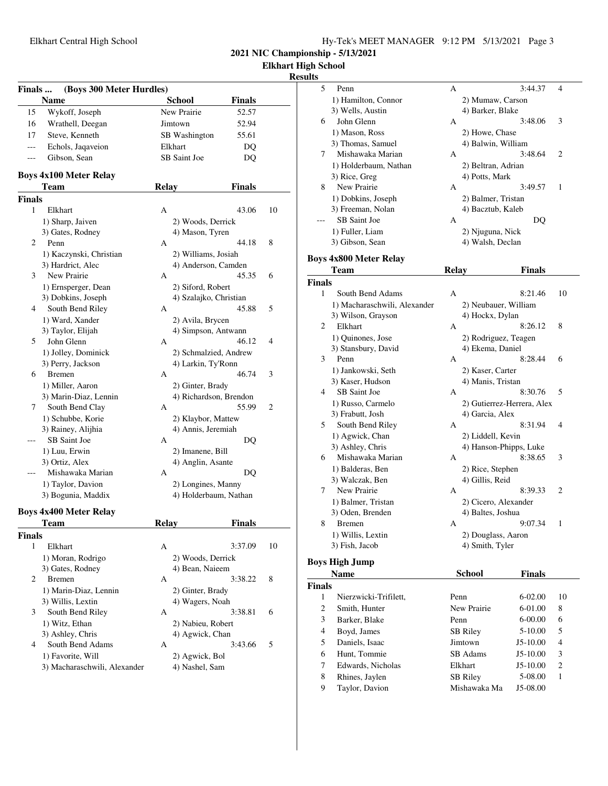| Hy-Tek's MEET MANAGER 9:12 PM 5/13/2021 Page 3 |  |  |  |
|------------------------------------------------|--|--|--|
|------------------------------------------------|--|--|--|

**Elkhart High School**

### **Results**

| Finals<br>(Boys 300 Meter Hurdles) |                                           |              |                        |               |    |
|------------------------------------|-------------------------------------------|--------------|------------------------|---------------|----|
|                                    | <b>Name</b>                               |              | <b>School</b>          | <b>Finals</b> |    |
| 15                                 | Wykoff, Joseph                            |              | New Prairie            | 52.57         |    |
| 16                                 | Wrathell, Deegan                          |              | Jimtown                | 52.94         |    |
| 17                                 | Steve, Kenneth                            |              | SB Washington          | 55.61         |    |
|                                    | Echols, Jagaveion                         |              | Elkhart                | DQ            |    |
| $---$                              | Gibson, Sean                              |              | SB Saint Joe           | DQ            |    |
|                                    |                                           |              |                        |               |    |
|                                    | <b>Boys 4x100 Meter Relay</b>             |              |                        |               |    |
|                                    | Team                                      | <b>Relay</b> |                        | <b>Finals</b> |    |
| Finals                             |                                           |              |                        |               |    |
| 1                                  | Elkhart                                   | A            |                        | 43.06         | 10 |
|                                    | 1) Sharp, Jaiven                          |              | 2) Woods, Derrick      |               |    |
|                                    | 3) Gates, Rodney                          |              | 4) Mason, Tyren        |               |    |
| 2                                  | Penn                                      | A            |                        | 44.18         | 8  |
|                                    | 1) Kaczynski, Christian                   |              | 2) Williams, Josiah    |               |    |
| 3                                  | 3) Hardrict, Alec<br>New Prairie          | A            | 4) Anderson, Camden    | 45.35         | 6  |
|                                    |                                           |              | 2) Siford, Robert      |               |    |
|                                    | 1) Ernsperger, Dean<br>3) Dobkins, Joseph |              | 4) Szalajko, Christian |               |    |
| 4                                  | South Bend Riley                          | A            |                        | 45.88         | 5  |
|                                    | 1) Ward, Xander                           |              | 2) Avila, Brycen       |               |    |
|                                    | 3) Taylor, Elijah                         |              | 4) Simpson, Antwann    |               |    |
| 5                                  | John Glenn                                | A            |                        | 46.12         | 4  |
|                                    | 1) Jolley, Dominick                       |              | 2) Schmalzied, Andrew  |               |    |
|                                    | 3) Perry, Jackson                         |              | 4) Larkin, Ty'Ronn     |               |    |
| 6                                  | <b>Bremen</b>                             | A            |                        | 46.74         | 3  |
|                                    | 1) Miller, Aaron                          |              | 2) Ginter, Brady       |               |    |
|                                    | 3) Marin-Diaz, Lennin                     |              | 4) Richardson, Brendon |               |    |
| 7                                  | South Bend Clay                           | A            |                        | 55.99         | 2  |
|                                    | 1) Schubbe, Korie                         |              | 2) Klaybor, Mattew     |               |    |
|                                    | 3) Rainey, Alijhia                        |              | 4) Annis, Jeremiah     |               |    |
| ---                                | SB Saint Joe                              | A            |                        | DQ            |    |
|                                    | 1) Luu, Erwin                             |              | 2) Imanene, Bill       |               |    |
|                                    | 3) Ortiz, Alex                            |              | 4) Anglin, Asante      |               |    |
|                                    | Mishawaka Marian                          | A            |                        | DQ            |    |
|                                    | 1) Taylor, Davion                         |              | 2) Longines, Manny     |               |    |
|                                    | 3) Bogunia, Maddix                        |              | 4) Holderbaum, Nathan  |               |    |
|                                    | <b>Boys 4x400 Meter Relay</b>             |              |                        |               |    |
|                                    | <b>Team</b>                               | <b>Relay</b> |                        | <b>Finals</b> |    |
| <b>Finals</b>                      |                                           |              |                        |               |    |
| 1                                  | Elkhart                                   | A            |                        | 3:37.09       | 10 |
|                                    | 1) Moran, Rodrigo                         |              | 2) Woods, Derrick      |               |    |
|                                    | 3) Gates, Rodney                          |              | 4) Bean, Naieem        |               |    |
| 2                                  | <b>B</b> remen                            | A            |                        | 3:38.22       | 8  |
|                                    | 1) Marin-Diaz, Lennin                     |              | 2) Ginter, Brady       |               |    |
|                                    | 3) Willis, Lextin                         |              | 4) Wagers, Noah        |               |    |
| 3                                  | South Bend Riley                          | A            |                        | 3:38.81       | 6  |
|                                    | 1) Witz, Ethan                            |              | 2) Nabieu, Robert      |               |    |
|                                    | 3) Ashley, Chris                          |              | 4) Agwick, Chan        |               |    |
| 4                                  | South Bend Adams                          | A            |                        | 3:43.66       | 5  |
|                                    | 1) Favorite, Will                         |              | 2) Agwick, Bol         |               |    |
|                                    | 3) Macharaschwili, Alexander              |              | 4) Nashel, Sam         |               |    |

| ulto          |                               |              |                            |                |
|---------------|-------------------------------|--------------|----------------------------|----------------|
| 5             | Penn                          | А            | 3:44.37                    | 4              |
|               | 1) Hamilton, Connor           |              | 2) Mumaw, Carson           |                |
|               | 3) Wells, Austin              |              | 4) Barker, Blake           |                |
| 6             | John Glenn                    | A            | 3:48.06                    | 3              |
|               | 1) Mason, Ross                |              | 2) Howe, Chase             |                |
|               | 3) Thomas, Samuel             |              | 4) Balwin, William         |                |
| 7             | Mishawaka Marian              | A            | 3:48.64                    | 2              |
|               | 1) Holderbaum, Nathan         |              | 2) Beltran, Adrian         |                |
|               | 3) Rice, Greg                 |              | 4) Potts, Mark             |                |
| 8             | New Prairie                   | A            | 3:49.57                    | 1              |
|               | 1) Dobkins, Joseph            |              | 2) Balmer, Tristan         |                |
|               | 3) Freeman, Nolan             |              | 4) Bacztub, Kaleb          |                |
|               | SB Saint Joe                  | A            | DQ                         |                |
|               | 1) Fuller, Liam               |              | 2) Njuguna, Nick           |                |
|               | 3) Gibson, Sean               |              | 4) Walsh, Declan           |                |
|               |                               |              |                            |                |
|               | <b>Boys 4x800 Meter Relay</b> |              |                            |                |
|               | Team                          | <b>Relay</b> | Finals                     |                |
| <b>Finals</b> |                               |              |                            |                |
| 1             | South Bend Adams              | A            | 8:21.46                    | 10             |
|               | 1) Macharaschwili, Alexander  |              | 2) Neubauer, William       |                |
|               | 3) Wilson, Grayson            |              | 4) Hockx, Dylan            |                |
| 2             | Elkhart                       | A            | 8:26.12                    | 8              |
|               | 1) Quinones, Jose             |              | 2) Rodriguez, Teagen       |                |
|               | 3) Stansbury, David           |              | 4) Ekema, Daniel           |                |
| 3             | Penn                          | A            | 8:28.44                    | 6              |
|               | 1) Jankowski, Seth            |              | 2) Kaser, Carter           |                |
|               | 3) Kaser, Hudson              |              | 4) Manis, Tristan          |                |
| 4             | <b>SB</b> Saint Joe           | A            | 8:30.76                    | 5              |
|               | 1) Russo, Carmelo             |              | 2) Gutierrez-Herrera, Alex |                |
|               | 3) Frabutt, Josh              |              | 4) Garcia, Alex            |                |
| 5             | South Bend Riley              | A            | 8:31.94                    | 4              |
|               | 1) Agwick, Chan               |              | 2) Liddell, Kevin          |                |
|               | 3) Ashley, Chris              |              | 4) Hanson-Phipps, Luke     |                |
| 6             | Mishawaka Marian              | A            | 8:38.65                    | 3              |
|               | 1) Balderas, Ben              |              | 2) Rice, Stephen           |                |
|               | 3) Walczak, Ben               |              | 4) Gillis, Reid            |                |
| 7             | New Prairie                   | A            | 8:39.33                    | $\overline{c}$ |
|               | 1) Balmer, Tristan            |              | 2) Cicero, Alexander       |                |
|               | 3) Oden, Brenden              |              | 4) Baltes, Joshua          |                |
| 8             | <b>Bremen</b>                 | A            | 9:07.34                    | 1              |
|               | 1) Willis, Lextin             |              | 2) Douglass, Aaron         |                |
|               | 3) Fish, Jacob                |              | 4) Smith, Tyler            |                |
|               | Roye High Iumn                |              |                            |                |

# **Boys High Jump Name School Finals**

|               | rvame                 | эспоог          | r inais     |                |
|---------------|-----------------------|-----------------|-------------|----------------|
| <b>Finals</b> |                       |                 |             |                |
|               | Nierzwicki-Trifilett, | Penn            | $6-02.00$   | 10             |
| 2             | Smith, Hunter         | New Prairie     | 6-01.00     | 8              |
| 3             | Barker, Blake         | Penn            | $6 - 00.00$ | 6              |
| 4             | Boyd, James           | <b>SB Riley</b> | 5-10.00     | 5              |
| 5.            | Daniels, Isaac        | Jimtown         | $J5-10.00$  | 4              |
| 6             | Hunt, Tommie          | SB Adams        | $J5-10.00$  | 3              |
| 7             | Edwards, Nicholas     | Elkhart         | $J5-10.00$  | $\overline{c}$ |
| 8             | Rhines, Jaylen        | <b>SB Riley</b> | 5-08.00     | 1              |
| 9             | Taylor, Davion        | Mishawaka Ma    | J5-08.00    |                |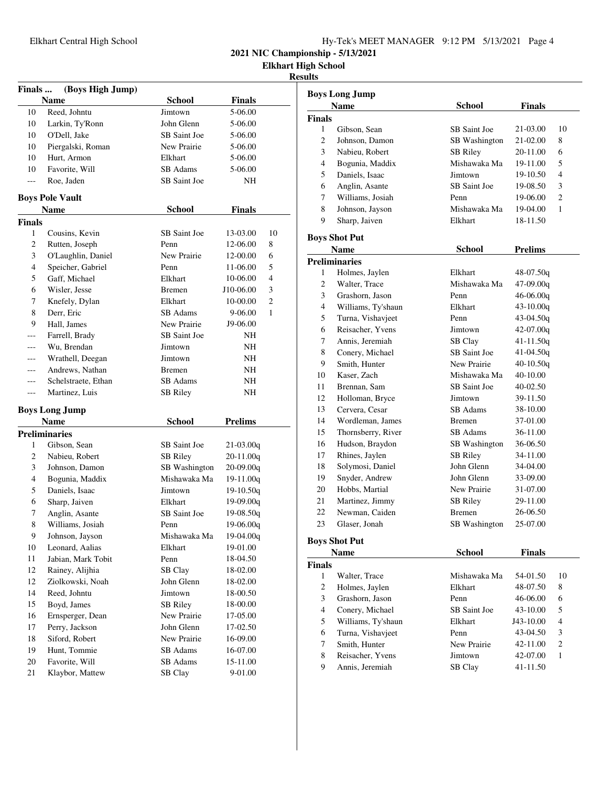| Hy-Tek's MEET MANAGER 9:12 PM 5/13/2021 Page 4 |  |  |  |
|------------------------------------------------|--|--|--|
|------------------------------------------------|--|--|--|

**Elkhart High School**

**Results**

| Finals | (Boys High Jump)       |                 |                |                |
|--------|------------------------|-----------------|----------------|----------------|
|        | Name                   | <b>School</b>   | <b>Finals</b>  |                |
| 10     | Reed, Johntu           | Jimtown         | 5-06.00        |                |
| 10     | Larkin, Ty'Ronn        | John Glenn      | 5-06.00        |                |
| 10     | O'Dell, Jake           | SB Saint Joe    | 5-06.00        |                |
| 10     | Piergalski, Roman      | New Prairie     | 5-06.00        |                |
| 10     | Hurt, Armon            | Elkhart         | 5-06.00        |                |
| 10     | Favorite, Will         | SB Adams        | 5-06.00        |                |
| ---    | Roe, Jaden             | SB Saint Joe    | <b>NH</b>      |                |
|        | <b>Boys Pole Vault</b> |                 |                |                |
|        | Name                   | <b>School</b>   | <b>Finals</b>  |                |
| Finals |                        |                 |                |                |
| 1      | Cousins, Kevin         | SB Saint Joe    | 13-03.00       | 10             |
| 2      | Rutten, Joseph         | Penn            | 12-06.00       | 8              |
| 3      | O'Laughlin, Daniel     | New Prairie     | 12-00.00       | 6              |
| 4      | Speicher, Gabriel      | Penn            | 11-06.00       | 5              |
| 5      | Gaff, Michael          | Elkhart         | 10-06.00       | 4              |
| 6      | Wisler, Jesse          | <b>Bremen</b>   | J10-06.00      | 3              |
| 7      | Knefely, Dylan         | Elkhart         | 10-00.00       | $\overline{c}$ |
| 8      | Derr, Eric             | SB Adams        | 9-06.00        | 1              |
| 9      | Hall, James            | New Prairie     | J9-06.00       |                |
|        | Farrell, Brady         | SB Saint Joe    | NH             |                |
|        | Wu, Brendan            | Jimtown         | NH             |                |
| ---    | Wrathell, Deegan       | Jimtown         | NH             |                |
| ---    | Andrews, Nathan        | <b>Bremen</b>   | NH             |                |
| ---    | Schelstraete, Ethan    | SB Adams        | NH             |                |
| ---    | Martinez, Luis         | <b>SB</b> Riley | NH             |                |
|        | <b>Boys Long Jump</b>  |                 |                |                |
|        | <b>Name</b>            | <b>School</b>   | <b>Prelims</b> |                |
|        | <b>Preliminaries</b>   |                 |                |                |
| 1      | Gibson, Sean           | SB Saint Joe    | $21-03.00q$    |                |
| 2      | Nabieu, Robert         | <b>SB</b> Riley | $20-11.00q$    |                |
| 3      | Johnson, Damon         | SB Washington   | $20-09.00q$    |                |
| 4      | Bogunia, Maddix        | Mishawaka Ma    | $19-11.00q$    |                |
| 5      | Daniels, Isaac         | Jimtown         | $19-10.50q$    |                |
| 6      | Sharp, Jaiven          | Elkhart         | $19-09.00q$    |                |
| 7      | Anglin, Asante         | SB Saint Joe    | $19-08.50q$    |                |
| 8      | Williams, Josiah       | Penn            | 19-06.00q      |                |
| 9      | Johnson, Jayson        | Mishawaka Ma    | 19-04.00q      |                |
| 10     | Leonard, Aalias        | Elkhart         | 19-01.00       |                |
| 11     | Jabian, Mark Tobit     | Penn            | 18-04.50       |                |
| 12     | Rainey, Alijhia        | SB Clay         | 18-02.00       |                |
| 12     | Ziolkowski, Noah       | John Glenn      | 18-02.00       |                |
| 14     | Reed, Johntu           | Jimtown         | 18-00.50       |                |
| 15     | Boyd, James            | <b>SB Riley</b> | 18-00.00       |                |
| 16     | Ernsperger, Dean       | New Prairie     | 17-05.00       |                |
| 17     | Perry, Jackson         | John Glenn      | 17-02.50       |                |
| 18     | Siford, Robert         | New Prairie     | 16-09.00       |                |
| 19     | Hunt, Tommie           | SB Adams        | 16-07.00       |                |
| 20     | Favorite, Will         | SB Adams        | 15-11.00       |                |
| 21     | Klaybor, Mattew        | SB Clay         | 9-01.00        |                |

|                | <b>Boys Long Jump</b> |                      |                |                |
|----------------|-----------------------|----------------------|----------------|----------------|
|                | Name                  | School               | Finals         |                |
| <b>Finals</b>  |                       |                      |                |                |
| 1              | Gibson, Sean          | SB Saint Joe         | 21-03.00       | 10             |
| 2              | Johnson, Damon        | SB Washington        | 21-02.00       | 8              |
| 3              | Nabieu, Robert        | <b>SB Riley</b>      | 20-11.00       | 6              |
| $\overline{4}$ | Bogunia, Maddix       | Mishawaka Ma         | 19-11.00       | 5              |
| 5              | Daniels, Isaac        | Jimtown              | 19-10.50       | 4              |
| 6              | Anglin, Asante        | SB Saint Joe         | 19-08.50       | 3              |
| 7              | Williams, Josiah      | Penn                 | 19-06.00       | $\overline{c}$ |
| 8              | Johnson, Jayson       | Mishawaka Ma         | 19-04.00       | $\mathbf{1}$   |
| 9              | Sharp, Jaiven         | Elkhart              | 18-11.50       |                |
|                | <b>Boys Shot Put</b>  |                      |                |                |
|                | <b>Name</b>           | School               | <b>Prelims</b> |                |
|                | <b>Preliminaries</b>  |                      |                |                |
| 1              | Holmes, Jaylen        | Elkhart              | 48-07.50g      |                |
| $\overline{c}$ | Walter, Trace         | Mishawaka Ma         | 47-09.00q      |                |
| 3              | Grashorn, Jason       | Penn                 | $46-06.00q$    |                |
| $\overline{4}$ | Williams, Ty'shaun    | Elkhart              | $43 - 10.00q$  |                |
| 5              | Turna, Vishavjeet     | Penn                 | $43-04.50q$    |                |
| 6              | Reisacher, Yvens      | Jimtown              | $42-07.00q$    |                |
| 7              | Annis, Jeremiah       | SB Clay              | $41 - 11.50q$  |                |
| 8              | Conery, Michael       | SB Saint Joe         | $41-04.50q$    |                |
| 9              | Smith. Hunter         | New Prairie          | $40-10.50q$    |                |
| 10             | Kaser, Zach           | Mishawaka Ma         | 40-10.00       |                |
| 11             | Brennan, Sam          | SB Saint Joe         | 40-02.50       |                |
| 12             | Holloman, Bryce       | Jimtown              | 39-11.50       |                |
| 13             | Cervera, Cesar        | <b>SB</b> Adams      | 38-10.00       |                |
| 14             | Wordleman, James      | <b>Bremen</b>        | 37-01.00       |                |
| 15             | Thornsberry, River    | SB Adams             | 36-11.00       |                |
| 16             | Hudson, Braydon       | <b>SB</b> Washington | 36-06.50       |                |
| 17             | Rhines, Jaylen        | <b>SB Riley</b>      | 34-11.00       |                |
| 18             | Solymosi, Daniel      | John Glenn           | 34-04.00       |                |
| 19             | Snyder, Andrew        | John Glenn           | 33-09.00       |                |
| 20             | Hobbs, Martial        | New Prairie          | 31-07.00       |                |
| 21             | Martinez, Jimmy       | <b>SB</b> Riley      | 29-11.00       |                |
| 22             | Newman, Caiden        | <b>Bremen</b>        | 26-06.50       |                |
| 23             | Glaser, Jonah         | SB Washington        | 25-07.00       |                |
|                | <b>Boys Shot Put</b>  |                      |                |                |
|                | <b>Name</b>           | School               | Finals         |                |
| <b>Finals</b>  |                       |                      |                |                |
|                | 1 Walter Trace        | Mishawaka Ma         | 54-01.50       | 10             |

| inals |                    |                |           |                |
|-------|--------------------|----------------|-----------|----------------|
| 1     | Walter, Trace      | Mishawaka Ma   | 54-01.50  | 10             |
| 2     | Holmes, Jaylen     | Elkhart        | 48-07.50  | 8              |
| 3     | Grashorn, Jason    | Penn           | 46-06.00  | 6              |
| 4     | Conery, Michael    | SB Saint Joe   | 43-10.00  | 5              |
| 5     | Williams, Ty'shaun | Elkhart        | J43-10.00 | 4              |
| 6     | Turna, Vishavjeet  | Penn           | 43-04.50  | 3              |
| 7     | Smith, Hunter      | New Prairie    | 42-11.00  | $\overline{c}$ |
| 8     | Reisacher, Yvens   | Jimtown        | 42-07.00  |                |
| 9     | Annis, Jeremiah    | <b>SB</b> Clay | 41-11.50  |                |
|       |                    |                |           |                |